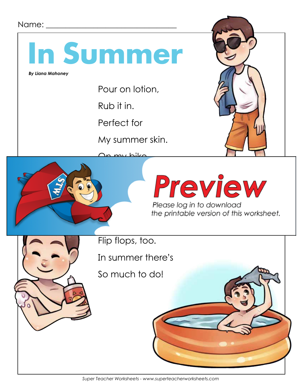#### Name:  $\Box$



 *By Liana Mahoney*

Pour on lotion,

Rub it in.

Perfect for

My summer skin.





Please log in to download<br>the printable version of this worksheet.



Flip flops, too.

In summer there's

So much to do!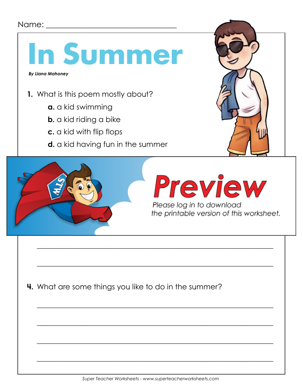### Name: \_\_\_\_\_\_\_\_\_\_\_\_\_\_\_\_\_\_\_\_\_\_\_\_\_\_\_\_\_\_\_\_\_



**4.** What are some things you like to do in the summer?

\_\_\_\_\_\_\_\_\_\_\_\_\_\_\_\_\_\_\_\_\_\_\_\_\_\_\_\_\_\_\_\_\_\_\_\_\_\_\_\_\_\_\_\_\_\_\_\_\_\_\_\_\_\_\_\_\_\_\_\_\_\_\_\_\_

\_\_\_\_\_\_\_\_\_\_\_\_\_\_\_\_\_\_\_\_\_\_\_\_\_\_\_\_\_\_\_\_\_\_\_\_\_\_\_\_\_\_\_\_\_\_\_\_\_\_\_\_\_\_\_\_\_\_\_\_\_\_\_\_\_

\_\_\_\_\_\_\_\_\_\_\_\_\_\_\_\_\_\_\_\_\_\_\_\_\_\_\_\_\_\_\_\_\_\_\_\_\_\_\_\_\_\_\_\_\_\_\_\_\_\_\_\_\_\_\_\_\_\_\_\_\_\_\_\_\_

\_\_\_\_\_\_\_\_\_\_\_\_\_\_\_\_\_\_\_\_\_\_\_\_\_\_\_\_\_\_\_\_\_\_\_\_\_\_\_\_\_\_\_\_\_\_\_\_\_\_\_\_\_\_\_\_\_\_\_\_\_\_\_\_\_

\_\_\_\_\_\_\_\_\_\_\_\_\_\_\_\_\_\_\_\_\_\_\_\_\_\_\_\_\_\_\_\_\_\_\_\_\_\_\_\_\_\_\_\_\_\_\_\_\_\_\_\_\_\_\_\_\_\_\_\_\_\_\_\_\_

\_\_\_\_\_\_\_\_\_\_\_\_\_\_\_\_\_\_\_\_\_\_\_\_\_\_\_\_\_\_\_\_\_\_\_\_\_\_\_\_\_\_\_\_\_\_\_\_\_\_\_\_\_\_\_\_\_\_\_\_\_\_\_\_\_